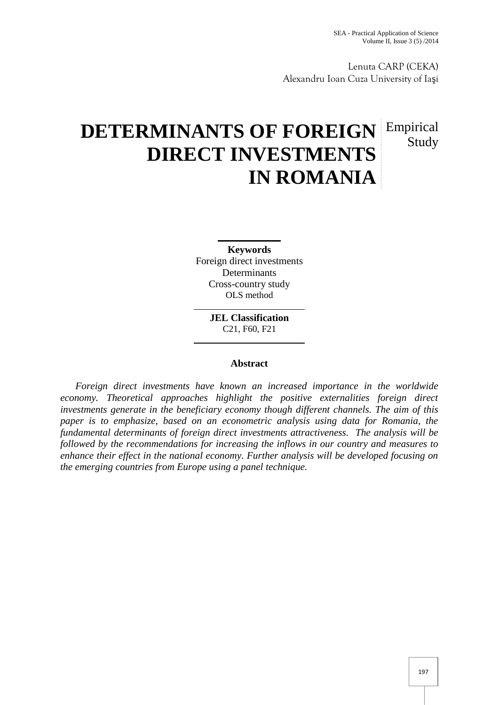Lenuta CARP (CEKA) Alexandru Ioan Cuza University of Ia i

# **DETERMINANTS OF FOREIGN Empirical DIRECT INVESTMENTS IN ROMANIA** Study

**Keywords** Foreign direct investments Determinants Cross-country study OLS method

> **JEL Classification** C21, F60, F21

## **Abstract**

*Foreign direct investments have known an increased importance in the worldwide economy. Theoretical approaches highlight the positive externalities foreign direct investments generate in the beneficiary economy though different channels. The aim of this paper is to emphasize, based on an econometric analysis using data for Romania, the fundamental determinants of foreign direct investments attractiveness. The analysis will be followed by the recommendations for increasing the inflows in our country and measures to enhance their effect in the national economy. Further analysis will be developed focusing on the emerging countries from Europe using a panel technique.*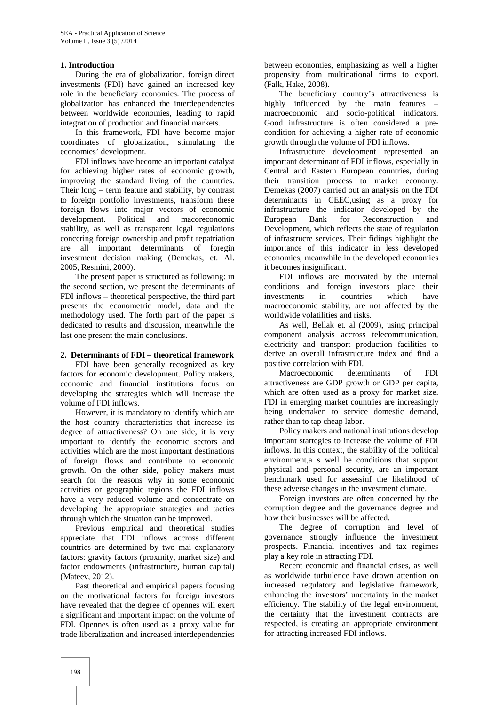#### **1. Introduction**

During the era of globalization, foreign direct investments (FDI) have gained an increased key role in the beneficiary economies. The process of globalization has enhanced the interdependencies between worldwide economies, leading to rapid integration of production and financial markets.

In this framework, FDI have become major coordinates of globalization, stimulating the economies' development.

FDI inflows have become an important catalyst for achieving higher rates of economic growth, improving the standard living of the countries. Their long – term feature and stability, by contrast to foreign portfolio investments, transform these foreign flows into major vectors of economic development. Political and macoreconomic stability, as well as transparent legal regulations concering foreign ownership and profit repatriation are all important determinants of foregin investment decision making (Demekas, et. Al. 2005, Resmini, 2000).

The present paper is structured as following: in the second section, we present the determinants of FDI inflows – theoretical perspective, the third part presents the econometric model, data and the methodology used. The forth part of the paper is dedicated to results and discussion, meanwhile the last one present the main conclusions.

#### **2. Determinants of FDI – theoretical framework**

FDI have been generally recognized as key factors for economic development. Policy makers, economic and financial institutions focus on developing the strategies which will increase the volume of FDI inflows.

However, it is mandatory to identify which are the host country characteristics that increase its degree of attractiveness? On one side, it is very important to identify the economic sectors and activities which are the most important destinations of foreign flows and contribute to economic growth. On the other side, policy makers must search for the reasons why in some economic activities or geographic regions the FDI inflows have a very reduced volume and concentrate on developing the appropriate strategies and tactics through which the situation can be improved.

Previous empirical and theoretical studies appreciate that FDI inflows accross different countries are determined by two mai explanatory factors: gravity factors (proxmity, market size) and factor endowments (infrastructure, human capital) (Mateev, 2012).

Past theoretical and empirical papers focusing on the motivational factors for foreign investors have revealed that the degree of opennes will exert a significant and important impact on the volume of FDI. Opennes is often used as a proxy value for trade liberalization and increased interdependencies

between economies, emphasizing as well a higher propensity from multinational firms to export. (Falk, Hake, 2008).

The beneficiary country's attractiveness is highly influenced by the main features macroeconomic and socio-political indicators. Good infrastructure is often considered a pre condition for achieving a higher rate of economic growth through the volume of FDI inflows.

Infrastructure development represented an important determinant of FDI inflows, especially in Central and Eastern European countries, during their transition process to market economy. Demekas (2007) carried out an analysis on the FDI determinants in CEEC,using as a proxy for infrastructure the indicator developed by the European Bank for Reconstruction and Development, which reflects the state of regulation of infrastrucre services. Their fidings highlight the importance of this indicator in less developed economies, meanwhile in the developed economies it becomes insignificant.

FDI inflows are motivated by the internal conditions and foreign investors place their investments in countries which have macroeconomic stability, are not affected by the worldwide volatilities and risks.

As well, Bellak et. al (2009), using principal component analysis accross telecommunication, electricity and transport production facilities to derive an overall infrastructure index and find a positive correlation with FDI.

Macroeconomic determinants of FDI attractiveness are GDP growth or GDP per capita, which are often used as a proxy for market size. FDI in emerging market countries are increasingly being undertaken to service domestic demand, rather than to tap cheap labor.

Policy makers and national institutions develop important startegies to increase the volume of FDI inflows. In this context, the stability of the political environment,a s well he conditions that support physical and personal security, are an important benchmark used for assessinf the likelihood of these adverse changes in the investment climate.

Foreign investors are often concerned by the corruption degree and the governance degree and how their businesses will be affected.

The degree of corruption and level of governance strongly influence the investment prospects. Financial incentives and tax regimes play a key role in attracting FDI.

Recent economic and financial crises, as well as worldwide turbulence have drown attention on increased regulatory and legislative framework, enhancing the investors' uncertainty in the market efficiency. The stability of the legal environment, the certainty that the investment contracts are respected, is creating an appropriate environment for attracting increased FDI inflows.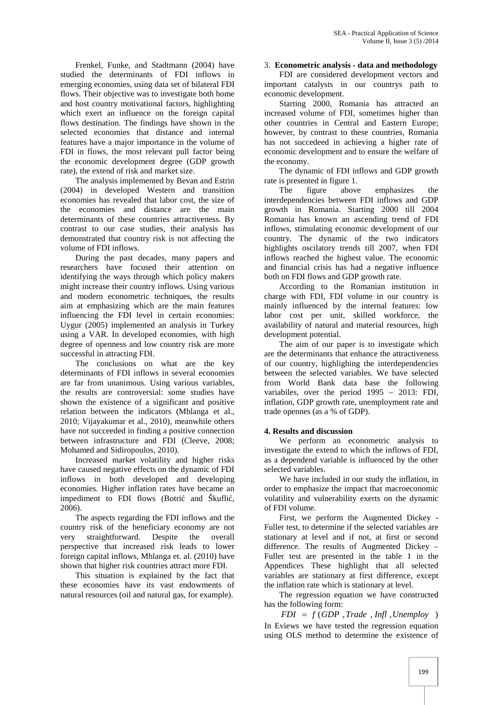Frenkel, Funke, and Stadtmann (2004) have studied the determinants of FDI inflows in emerging economies, using data set of bilateral FDI flows. Their objective was to investigate both home and host country motivational factors, highlighting which exert an influence on the foreign capital flows destination. The findings have shown in the selected economies that distance and internal features have a major importance in the volume of FDI in flows, the most relevant pull factor being the economic development degree (GDP growth rate), the extend of risk and market size.

The analysis implemented by Bevan and Estrin (2004) in developed Western and transition economies has revealed that labor cost, the size of the economies and distance are the main determinants of these countries attractiveness. By contrast to our case studies, their analysis has demonstrated that country risk is not affecting the volume of FDI inflows.

During the past decades, many papers and researchers have focused their attention on identifying the ways through which policy makers might increase their country inflows. Using various and modern econometric techniques, the results aim at emphasizing which are the main features influencing the FDI level in certain economies: Uygur (2005) implemented an analysis in Turkey using a VAR. In developed economies, with high degree of openness and low country risk are more successful in attracting FDI.

The conclusions on what are the key determinants of FDI inflows in several economies are far from unanimous. Using various variables, the results are controversial: some studies have shown the existence of a significant and positive relation between the indicators (Mhlanga et al., 2010; Vijayakumar et al., 2010), meanwhile others have not succeeded in finding a positive connection between infrastructure and FDI (Cleeve, 2008; Mohamed and Sidiropoulos, 2010).

Increased market volatility and higher risks have caused negative effects on the dynamic of FDI inflows in both developed and developing economies. Higher inflation rates have became an impediment to FDI flows (Botri and Škufli , 2006).

The aspects regarding the FDI inflows and the country risk of the beneficiary economy are not very straightforward. Despite the overall perspective that increased risk leads to lower foreign capital inflows, Mhlanga et. al. (2010) have shown that higher risk countries attract more FDI.

This situation is explained by the fact that these economies have its vast endowments of natural resources (oil and natural gas, for example).

#### 3. **Econometric analysis - data and methodology**

FDI are considered development vectors and important catalysts in our countrys path to economic development.

Starting 2000, Romania has attracted an increased volume of FDI, sometimes higher than other countries in Central and Eastern Europe; however, by contrast to these countries, Romania has not succedeed in achieving a higher rate of economic development and to ensure the welfare of the economy.

The dynamic of FDI inflows and GDP growth rate is presented in figure 1.

The figure above emphasizes the interdependencies between FDI inflows and GDP growth in Romania. Starting 2000 till 2004 Romania has known an ascending trend of FDI inflows, stimulating economic development of our country. The dynamic of the two indicators highlights oscilatory trends till 2007, when FDI inflows reached the highest value. The economic and financial crisis has had a negative influence both on FDI flows and GDP growth rate.

According to the Romanian institution in charge with FDI, FDI volume in our country is mainly influenced by the internal features: low labor cost per unit, skilled workforce, the availability of natural and material resources, high development potential.

The aim of our paper is to investigate which are the determinants that enhance the attractiveness of our country, highlighing the interdependencies between the selected variables. We have selected from World Bank data base the following variabiles, over the period 1995 – 2013: FDI, inflation, GDP growth rate, unemployment rate and trade opennes (as a % of GDP).

## **4. Results and discussion**

We perform an econometric analysis to investigate the extend to which the inflows of FDI, as a dependend variable is influenced by the other selected variables.

We have included in our study the inflation, in order to emphasize the impact that macroeconomic volatility and vulnerability exerts on the dynamic of FDI volume.

First, we perform the Augmented Dickey - Fuller test, to determine if the selected variables are stationary at level and if not, at first or second difference. The results of Augmented Dickey – Fuller test are presented in the table 1 in the Appendices These highlight that all selected variables are stationary at first difference, except the inflation rate which is stationary at level.

The regression equation we have constructed has the following form:

 $FDI = f(GDP, Trade, Infl,Unemploy)$ In Eviews we have tested the regression equation using OLS method to determine the existence of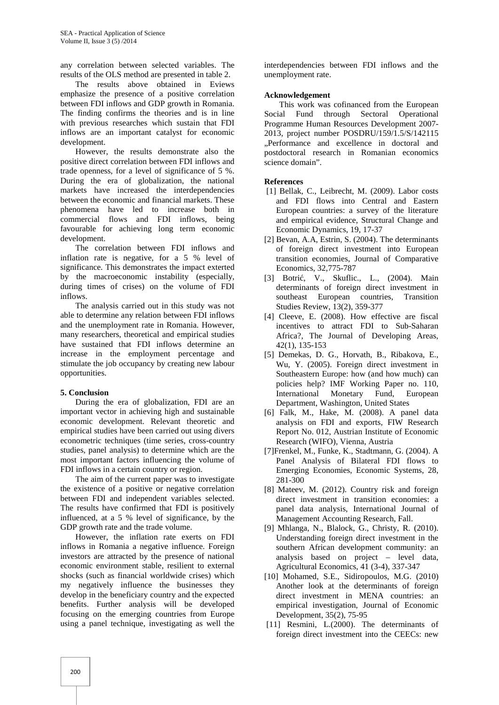any correlation between selected variables. The results of the OLS method are presented in table 2.

The results above obtained in Eviews emphasize the presence of a positive correlation between FDI inflows and GDP growth in Romania. The finding confirms the theories and is in line with previous researches which sustain that FDI inflows are an important catalyst for economic development.

However, the results demonstrate also the positive direct correlation between FDI inflows and trade openness, for a level of significance of 5 %. During the era of globalization, the national markets have increased the interdependencies between the economic and financial markets. These phenomena have led to increase both in commercial flows and FDI inflows, being favourable for achieving long term economic development.

The correlation between FDI inflows and inflation rate is negative, for a 5 % level of significance. This demonstrates the impact exterted by the macroeconomic instability (especially, during times of crises) on the volume of FDI inflows.

The analysis carried out in this study was not able to determine any relation between FDI inflows and the unemployment rate in Romania. However, many researchers, theoretical and empirical studies have sustained that FDI inflows determine an increase in the employment percentage and stimulate the job occupancy by creating new labour opportunities.

## **5. Conclusion**

During the era of globalization, FDI are an important vector in achieving high and sustainable economic development. Relevant theoretic and empirical studies have been carried out using divers econometric techniques (time series, cross-country studies, panel analysis) to determine which are the most important factors influencing the volume of FDI inflows in a certain country or region.

The aim of the current paper was to investigate the existence of a positive or negative correlation between FDI and independent variables selected. The results have confirmed that FDI is positively influenced, at a 5 % level of significance, by the GDP growth rate and the trade volume.

However, the inflation rate exerts on FDI inflows in Romania a negative influence. Foreign investors are attracted by the presence of national economic environment stable, resilient to external shocks (such as financial worldwide crises) which my negatively influence the businesses they develop in the beneficiary country and the expected benefits. Further analysis will be developed focusing on the emerging countries from Europe using a panel technique, investigating as well the

interdependencies between FDI inflows and the unemployment rate.

#### **Acknowledgement**

This work was cofinanced from the European Social Fund through Sectoral Operational Programme Human Resources Development 2007- 2013, project number POSDRU/159/1.5/S/142115 ..Performance and excellence in doctoral and postdoctoral research in Romanian economics science domain".

## **References**

- [1] Bellak, C., Leibrecht, M. (2009). Labor costs and FDI flows into Central and Eastern European countries: a survey of the literature and empirical evidence, Structural Change and Economic Dynamics, 19, 17-37
- [2] Bevan, A.A, Estrin, S. (2004). The determinants of foreign direct investment into European transition economies, Journal of Comparative Economics, 32,775-787
- [3] Botri , V., Skuflic., L., (2004). Main determinants of foreign direct investment in southeast European countries, Transition Studies Review, 13(2), 359-377
- [4] Cleeve, E. (2008). How effective are fiscal incentives to attract FDI to Sub-Saharan Africa?, The Journal of Developing Areas, 42(1), 135-153
- [5] Demekas, D. G., Horvath, B., Ribakova, E., Wu, Y. (2005). Foreign direct investment in Southeastern Europe: how (and how much) can policies help? IMF Working Paper no. 110, International Monetary Fund, European Department, Washington, United States
- [6] Falk, M., Hake, M. (2008). A panel data analysis on FDI and exports, FIW Research Report No. 012, Austrian Institute of Economic Research (WIFO), Vienna, Austria
- [7]Frenkel, M., Funke, K., Stadtmann, G. (2004). A Panel Analysis of Bilateral FDI flows to Emerging Economies, Economic Systems, 28, 281-300
- [8] Mateev, M. (2012). Country risk and foreign direct investment in transition economies: a panel data analysis, International Journal of Management Accounting Research, Fall.
- [9] Mhlanga, N., Blalock, G., Christy, R. (2010). Understanding foreign direct investment in the southern African development community: an analysis based on project – level data, Agricultural Economics, 41 (3-4), 337-347
- [10] Mohamed, S.E., Sidiropoulos, M.G. (2010) Another look at the determinants of foreign direct investment in MENA countries: an empirical investigation, Journal of Economic Development, 35(2), 75-95
- [11] Resmini, L.(2000). The determinants of foreign direct investment into the CEECs: new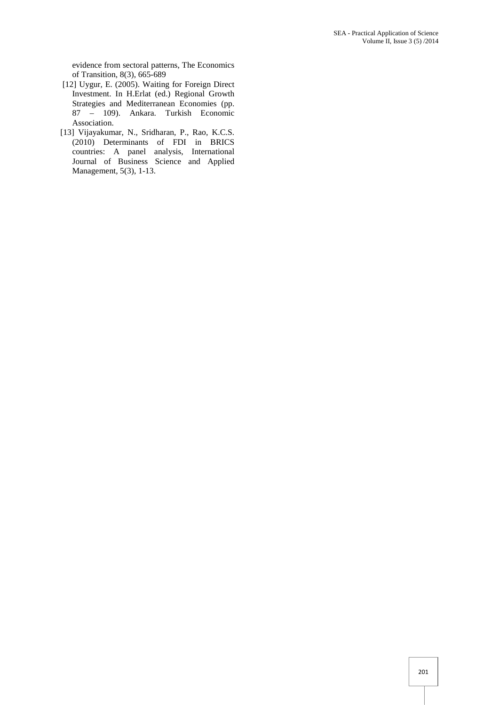evidence from sectoral patterns, The Economics of Transition, 8(3), 665-689

- [12] Uygur, E. (2005). Waiting for Foreign Direct Investment. In H.Erlat (ed.) Regional Growth Strategies and Mediterranean Economies (pp. 87 – 109). Ankara. Turkish Economic Association.
- [13] Vijayakumar, N., Sridharan, P., Rao, K.C.S. (2010) Determinants of FDI in BRICS countries: A panel analysis, International Journal of Business Science and Applied Management, 5(3), 1-13.